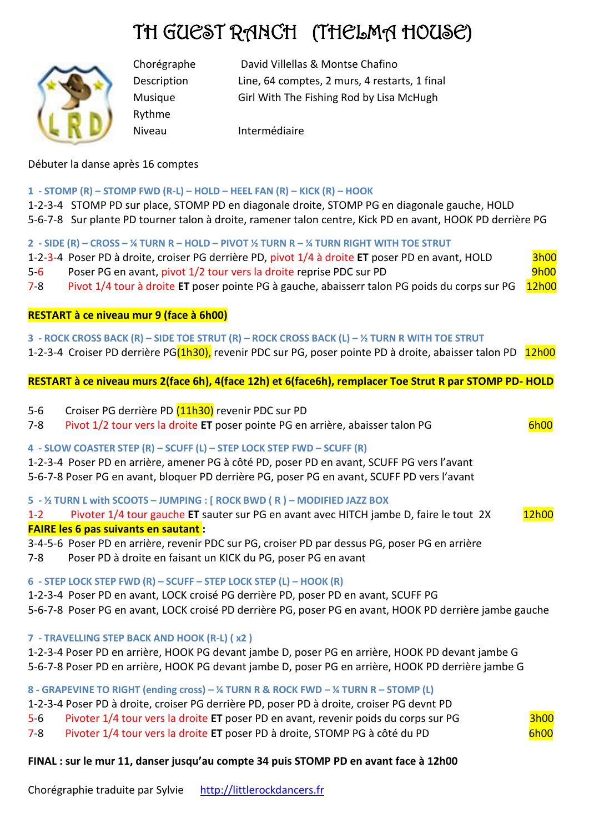# TH GUEST RANCH (THELMA HOUSE)



Rythme

Chorégraphe David Villellas & Montse Chafino Description Line, 64 comptes, 2 murs, 4 restarts, 1 final Musique Girl With The Fishing Rod by Lisa McHugh

Niveau Intermédiaire

Débuter la danse après 16 comptes

### **1 - STOMP (R) – STOMP FWD (R-L) – HOLD – HEEL FAN (R) – KICK (R) – HOOK**

1-2-3-4 STOMP PD sur place, STOMP PD en diagonale droite, STOMP PG en diagonale gauche, HOLD 5-6-7-8 Sur plante PD tourner talon à droite, ramener talon centre, Kick PD en avant, HOOK PD derrière PG

**2 - SIDE (R) – CROSS – ¼ TURN R – HOLD – PIVOT ½ TURN R – ¼ TURN RIGHT WITH TOE STRUT** 

- 1-2-3-4 Poser PD à droite, croiser PG derrière PD, pivot 1/4 à droite **ET** poser PD en avant, HOLD 3h00
- 5-6 Poser PG en avant, pivot 1/2 tour vers la droite reprise PDC sur PD 9h00
- 7-8 Pivot 1/4 tour à droite **ET** poser pointe PG à gauche, abaisserr talon PG poids du corps sur PG 12h00

# **RESTART à ce niveau mur 9 (face à 6h00)**

- **3 - ROCK CROSS BACK (R) – SIDE TOE STRUT (R) – ROCK CROSS BACK (L) – ½ TURN R WITH TOE STRUT**
- 1-2-3-4 Croiser PD derrière PG(1h30), revenir PDC sur PG, poser pointe PD à droite, abaisser talon PD 12h00

### **RESTART à ce niveau murs 2(face 6h), 4(face 12h) et 6(face6h), remplacer Toe Strut R par STOMP PD- HOLD**

5-6 Croiser PG derrière PD (11h30) revenir PDC sur PD

7-8 Pivot 1/2 tour vers la droite **ET** poser pointe PG en arrière, abaisser talon PG 6h00

**4 - SLOW COASTER STEP (R) – SCUFF (L) – STEP LOCK STEP FWD – SCUFF (R)** 

1-2-3-4 Poser PD en arrière, amener PG à côté PD, poser PD en avant, SCUFF PG vers l'avant 5-6-7-8 Poser PG en avant, bloquer PD derrière PG, poser PG en avant, SCUFF PD vers l'avant

**5 - ½ TURN L with SCOOTS – JUMPING : [ ROCK BWD ( R ) – MODIFIED JAZZ BOX** 

1-2 Pivoter 1/4 tour gauche **ET** sauter sur PG en avant avec HITCH jambe D, faire le tout 2X 12h00 **FAIRE les 6 pas suivants en sautant :**

3-4-5-6 Poser PD en arrière, revenir PDC sur PG, croiser PD par dessus PG, poser PG en arrière

7-8 Poser PD à droite en faisant un KICK du PG, poser PG en avant

**6 - STEP LOCK STEP FWD (R) – SCUFF – STEP LOCK STEP (L) – HOOK (R)** 

1-2-3-4 Poser PD en avant, LOCK croisé PG derrière PD, poser PD en avant, SCUFF PG 5-6-7-8 Poser PG en avant, LOCK croisé PD derrière PG, poser PG en avant, HOOK PD derrière jambe gauche

**7 - TRAVELLING STEP BACK AND HOOK (R-L) ( x2 )** 

1-2-3-4 Poser PD en arrière, HOOK PG devant jambe D, poser PG en arrière, HOOK PD devant jambe G 5-6-7-8 Poser PD en arrière, HOOK PG devant jambe D, poser PG en arrière, HOOK PD derrière jambe G

**8 - GRAPEVINE TO RIGHT (ending cross) – ¼ TURN R & ROCK FWD – ¼ TURN R – STOMP (L)** 

1-2-3-4 Poser PD à droite, croiser PG derrière PD, poser PD à droite, croiser PG devnt PD

- 5-6 Pivoter 1/4 tour vers la droite **ET** poser PD en avant, revenir poids du corps sur PG 3h00
- 7-8 Pivoter 1/4 tour vers la droite **ET** poser PD à droite, STOMP PG à côté du PD 6h00

# **FINAL : sur le mur 11, danser jusqu'au compte 34 puis STOMP PD en avant face à 12h00**